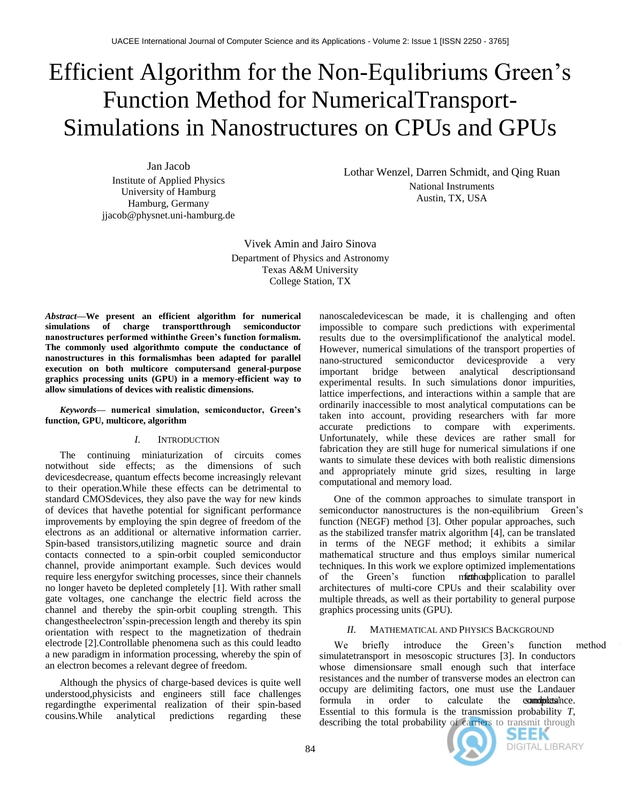# Efficient Algorithm for the Non-Equlibriums Green's Function Method for NumericalTransport-Simulations in Nanostructures on CPUs and GPUs

Jan Jacob Institute of Applied Physics University of Hamburg Hamburg, Germany jjacob@physnet.uni-hamburg.de

Lothar Wenzel, Darren Schmidt, and Qing Ruan National Instruments Austin, TX, USA

Vivek Amin and Jairo Sinova Department of Physics and Astronomy Texas A&M University College Station, TX

*Abstract***—We present an efficient algorithm for numerical simulations of charge transportthrough semiconductor nanostructures performed withinthe Green's function formalism. The commonly used algorithmto compute the conductance of nanostructures in this formalismhas been adapted for parallel execution on both multicore computersand general-purpose graphics processing units (GPU) in a memory-efficient way to allow simulations of devices with realistic dimensions.**

*Keywords***— numerical simulation, semiconductor, Green's function, GPU, multicore, algorithm**

# *I.* INTRODUCTION

The continuing miniaturization of circuits comes notwithout side effects; as the dimensions of such devicesdecrease, quantum effects become increasingly relevant to their operation.While these effects can be detrimental to standard CMOSdevices, they also pave the way for new kinds of devices that havethe potential for significant performance improvements by employing the spin degree of freedom of the electrons as an additional or alternative information carrier. Spin-based transistors,utilizing magnetic source and drain contacts connected to a spin-orbit coupled semiconductor channel, provide animportant example. Such devices would require less energyfor switching processes, since their channels no longer haveto be depleted completely [1]. With rather small gate voltages, one canchange the electric field across the channel and thereby the spin-orbit coupling strength. This changestheelectron'sspin-precession length and thereby its spin orientation with respect to the magnetization of thedrain electrode [2].Controllable phenomena such as this could leadto a new paradigm in information processing, whereby the spin of an electron becomes a relevant degree of freedom.

Although the physics of charge-based devices is quite well understood,physicists and engineers still face challenges regardingthe experimental realization of their spin-based cousins.While analytical predictions regarding these

nanoscaledevicescan be made, it is challenging and often impossible to compare such predictions with experimental results due to the oversimplificationof the analytical model. However, numerical simulations of the transport properties of nano-structured semiconductor devicesprovide a very important bridge between analytical descriptionsand experimental results. In such simulations donor impurities, lattice imperfections, and interactions within a sample that are ordinarily inaccessible to most analytical computations can be taken into account, providing researchers with far more accurate predictions to compare with experiments. Unfortunately, while these devices are rather small for fabrication they are still huge for numerical simulations if one wants to simulate these devices with both realistic dimensions and appropriately minute grid sizes, resulting in large computational and memory load.

One of the common approaches to simulate transport in semiconductor nanostructures is the non-equilibrium Green's function (NEGF) method [3]. Other popular approaches, such as the stabilized transfer matrix algorithm [4], can be translated in terms of the NEGF method; it exhibits a similar mathematical structure and thus employs similar numerical techniques. In this work we explore optimized implementations of the Green's function method plication to parallel architectures of multi-core CPUs and their scalability over multiple threads, as well as their portability to general purpose graphics processing units (GPU).

# *II.* MATHEMATICAL AND PHYSICS BACKGROUND

We briefly introduce the Green's function method simulatetransport in mesoscopic structures [3]. In conductors whose dimensionsare small enough such that interface resistances and the number of transverse modes an electron can occupy are delimiting factors, one must use the Landauer formula in order to calculate the **community** of the **community** to calculate the **community** to calculate the community can be calculated to calculate the community containing to  $\alpha$ . Essential to this formula is the transmission probability *T*, describing the total probability of carriers to transmit through



SEEK DIGITAL LIBRARY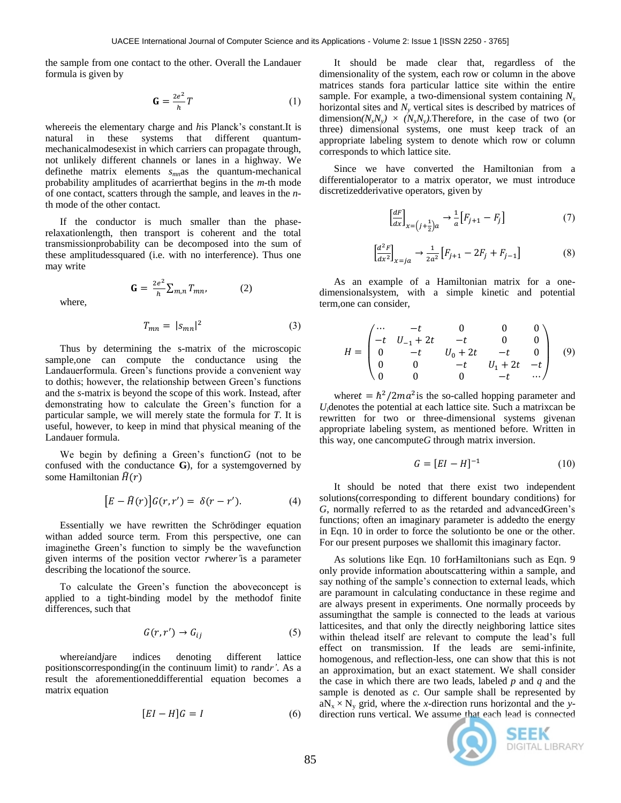the sample from one contact to the other. Overall the Landauer formula is given by

$$
\mathbf{G} = \frac{2e^2}{h}T\tag{1}
$$

where*e*is the elementary charge and *h*is Planck's constant.It is natural in these systems that different quantummechanicalmodesexist in which carriers can propagate through, not unlikely different channels or lanes in a highway. We definethe matrix elements *smn*as the quantum-mechanical probability amplitudes of acarrierthat begins in the *m*-th mode of one contact, scatters through the sample, and leaves in the *n*th mode of the other contact.

If the conductor is much smaller than the phaserelaxationlength, then transport is coherent and the total transmissionprobability can be decomposed into the sum of these amplitudessquared (i.e. with no interference). Thus one may write

$$
\mathbf{G} = \frac{2e^2}{h} \sum_{m,n} T_{mn}, \qquad (2)
$$

where,

$$
T_{mn} = |s_{mn}|^2 \tag{3}
$$

Thus by determining the s-matrix of the microscopic sample,one can compute the conductance using the Landauerformula. Green's functions provide a convenient way to dothis; however, the relationship between Green's functions and the *s*-matrix is beyond the scope of this work. Instead, after demonstrating how to calculate the Green's function for a particular sample, we will merely state the formula for *T*. It is useful, however, to keep in mind that physical meaning of the Landauer formula.

We begin by defining a Green's function*G* (not to be confused with the conductance **G**), for a systemgoverned by some Hamiltonian  $\hat{H}(r)$ 

$$
[E - \widehat{H}(r)]G(r, r') = \delta(r - r'). \tag{4}
$$

Essentially we have rewritten the Schrödinger equation withan added source term. From this perspective, one can imaginethe Green's function to simply be the wavefunction given interms of the position vector *r*where*r'*is a parameter describing the locationof the source.

To calculate the Green's function the aboveconcept is applied to a tight-binding model by the methodof finite differences, such that

$$
G(r, r') \to G_{ij} \tag{5}
$$

where*i*and*j*are indices denoting different lattice positionscorresponding(in the continuum limit) to *r*and*r'*. As a result the aforementioneddifferential equation becomes a matrix equation

$$
[EI - H]G = I \tag{6}
$$

It should be made clear that, regardless of the dimensionality of the system, each row or column in the above matrices stands fora particular lattice site within the entire sample. For example, a two-dimensional system containing *N<sup>x</sup>* horizontal sites and *N<sup>y</sup>* vertical sites is described by matrices of dimension $(N_xN_y) \times (N_xN_y)$ . Therefore, in the case of two (or three) dimensional systems, one must keep track of an appropriate labeling system to denote which row or column corresponds to which lattice site.

Since we have converted the Hamiltonian from a differentialoperator to a matrix operator, we must introduce discretizedderivative operators, given by

$$
\left[\frac{dF}{dx}\right]_{x=\left(j+\frac{1}{2}\right)a} \to \frac{1}{a} \left[F_{j+1} - F_j\right] \tag{7}
$$

$$
\left[\frac{d^2F}{dx^2}\right]_{x=ja} \to \frac{1}{2a^2} \left[F_{j+1} - 2F_j + F_{j-1}\right]
$$
 (8)

As an example of a Hamiltonian matrix for a onedimensionalsystem, with a simple kinetic and potential term,one can consider,

$$
H = \begin{pmatrix}\n\cdots & -t & 0 & 0 & 0 \\
-t & U_{-1} + 2t & -t & 0 & 0 \\
0 & -t & U_0 + 2t & -t & 0 \\
0 & 0 & -t & U_1 + 2t & -t \\
0 & 0 & 0 & -t & \cdots\n\end{pmatrix}
$$
(9)

where  $t = \hbar^2/2ma^2$  is the so-called hopping parameter and *Ui*denotes the potential at each lattice site. Such a matrixcan be rewritten for two or three-dimensional systems givenan appropriate labeling system, as mentioned before. Written in this way, one cancompute*G* through matrix inversion.

$$
G = [EI - H]^{-1} \tag{10}
$$

It should be noted that there exist two independent solutions(corresponding to different boundary conditions) for *G*, normally referred to as the retarded and advancedGreen's functions; often an imaginary parameter is addedto the energy in Eqn. 10 in order to force the solutionto be one or the other. For our present purposes we shallomit this imaginary factor.

As solutions like Eqn. 10 forHamiltonians such as Eqn. 9 only provide information aboutscattering within a sample, and say nothing of the sample's connection to external leads, which are paramount in calculating conductance in these regime and are always present in experiments. One normally proceeds by assumingthat the sample is connected to the leads at various latticesites, and that only the directly neighboring lattice sites within thelead itself are relevant to compute the lead's full effect on transmission. If the leads are semi-infinite, homogenous, and reflection-less, one can show that this is not an approximation, but an exact statement. We shall consider the case in which there are two leads, labeled *p* and *q* and the sample is denoted as *c*. Our sample shall be represented by  $aN_x \times N_y$  grid, where the *x*-direction runs horizontal and the *y*direction runs vertical. We assume that each lead is connected



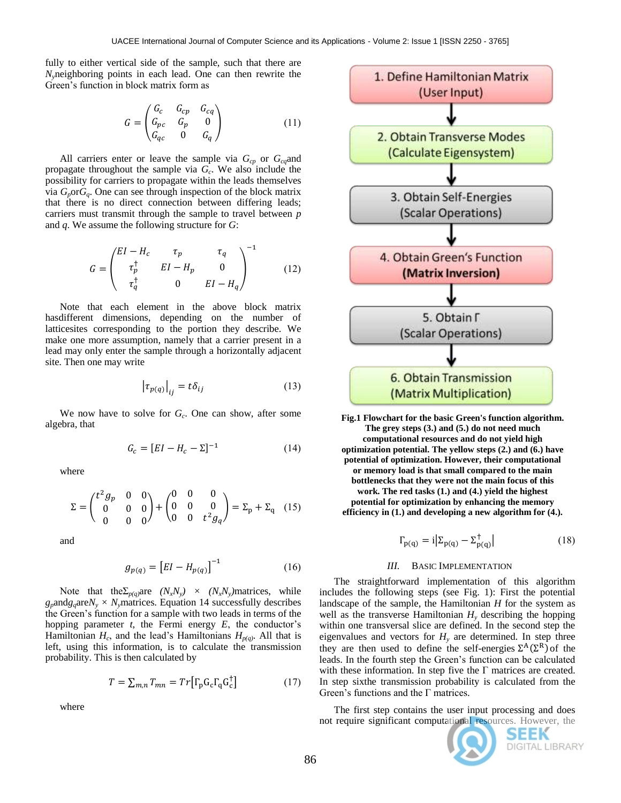fully to either vertical side of the sample, such that there are *Ny*neighboring points in each lead. One can then rewrite the Green's function in block matrix form as

$$
G = \begin{pmatrix} G_c & G_{cp} & G_{cq} \\ G_{pc} & G_p & 0 \\ G_{qc} & 0 & G_q \end{pmatrix} \tag{11}
$$

All carriers enter or leave the sample via  $G_{cp}$  or  $G_{cq}$  and propagate throughout the sample via *G<sup>c</sup>* . We also include the possibility for carriers to propagate within the leads themselves via  $G_p$ or $G_q$ . One can see through inspection of the block matrix that there is no direct connection between differing leads; carriers must transmit through the sample to travel between *p* and *q*. We assume the following structure for *G*:

$$
G = \begin{pmatrix} EI - H_c & \tau_p & \tau_q \\ \tau_p^{\dagger} & EI - H_p & 0 \\ \tau_q^{\dagger} & 0 & EI - H_q \end{pmatrix}^{-1}
$$
 (12)

Note that each element in the above block matrix hasdifferent dimensions, depending on the number of latticesites corresponding to the portion they describe. We make one more assumption, namely that a carrier present in a lead may only enter the sample through a horizontally adjacent site. Then one may write

$$
|\tau_{p(q)}|_{ij} = t\delta_{ij} \tag{13}
$$

We now have to solve for *G<sup>c</sup>* . One can show, after some algebra, that

$$
G_c = [EI - H_c - \Sigma]^{-1}
$$
 (14)

where

$$
\Sigma = \begin{pmatrix} t^2 g_p & 0 & 0 \\ 0 & 0 & 0 \\ 0 & 0 & 0 \end{pmatrix} + \begin{pmatrix} 0 & 0 & 0 \\ 0 & 0 & 0 \\ 0 & 0 & t^2 g_q \end{pmatrix} = \Sigma_p + \Sigma_q \quad (15)
$$

and

$$
g_{p(q)} = [EI - H_{p(q)}]^{-1}
$$
 (16)

Note that the  $\sum_{p(q)}$ are  $(N_xN_y) \times (N_xN_y)$  matrices, while  $g_p$ and $g_q$ are $N_y \times N_y$ matrices. Equation 14 successfully describes the Green's function for a sample with two leads in terms of the hopping parameter *t*, the Fermi energy *E*, the conductor's Hamiltonian  $H_c$ , and the lead's Hamiltonians  $H_{p(q)}$ . All that is left, using this information, is to calculate the transmission probability. This is then calculated by

$$
T = \sum_{m,n} T_{mn} = Tr \left[ \Gamma_{\mathbf{p}} \mathbf{G}_{\mathbf{c}} \Gamma_{\mathbf{q}} \mathbf{G}_{\mathbf{c}}^{\dagger} \right]
$$
 (17)

where



**Fig.1 Flowchart for the basic Green's function algorithm. The grey steps (3.) and (5.) do not need much computational resources and do not yield high optimization potential. The yellow steps (2.) and (6.) have potential of optimization. However, their computational or memory load is that small compared to the main bottlenecks that they were not the main focus of this work. The red tasks (1.) and (4.) yield the highest potential for optimization by enhancing the memory efficiency in (1.) and developing a new algorithm for (4.).**

$$
\Gamma_{\mathbf{p}(\mathbf{q})} = \mathbf{i} \left| \Sigma_{\mathbf{p}(\mathbf{q})} - \Sigma_{\mathbf{p}(\mathbf{q})}^{\dagger} \right| \tag{18}
$$

#### *III.* BASIC IMPLEMENTATION

The straightforward implementation of this algorithm includes the following steps (see Fig. 1): First the potential landscape of the sample, the Hamiltonian *H* for the system as well as the transverse Hamiltonian  $H<sub>v</sub>$  describing the hopping within one transversal slice are defined. In the second step the eigenvalues and vectors for  $H<sub>y</sub>$  are determined. In step three they are then used to define the self-energies  $\Sigma^A(\Sigma^R)$  of the leads. In the fourth step the Green's function can be calculated with these information. In step five the  $\Gamma$  matrices are created. In step sixthe transmission probability is calculated from the Green's functions and the Γ matrices.

The first step contains the user input processing and does not require significant computational resources. However, the



SEEK DIGITAL LIBRARY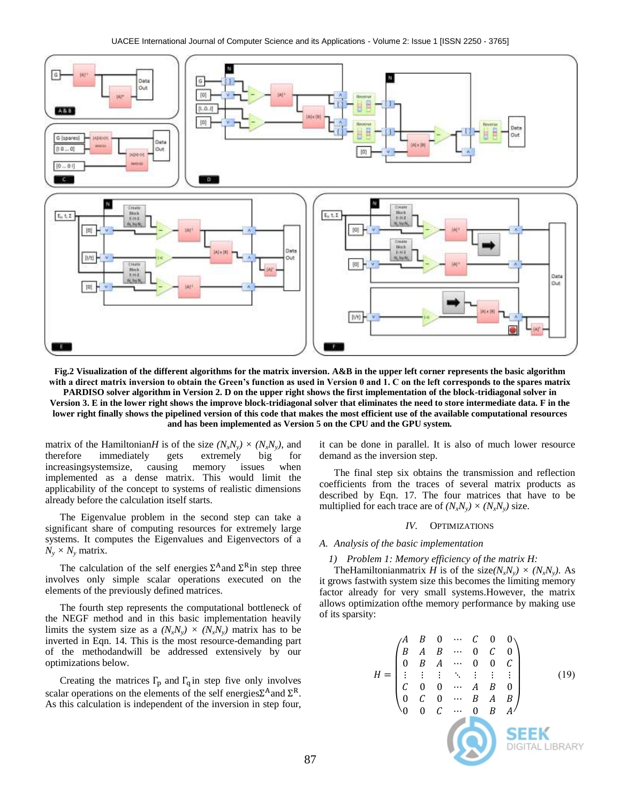

**Fig.2 Visualization of the different algorithms for the matrix inversion. A&B in the upper left corner represents the basic algorithm with a direct matrix inversion to obtain the Green's function as used in Version 0 and 1. C on the left corresponds to the spares matrix PARDISO solver algorithm in Version 2. D on the upper right shows the first implementation of the block-tridiagonal solver in Version 3. E in the lower right shows the improve block-tridiagonal solver that eliminates the need to store intermediate data. F in the lower right finally shows the pipelined version of this code that makes the most efficient use of the available computational resources and has been implemented as Version 5 on the CPU and the GPU system.**

matrix of the Hamiltonian*H* is of the size  $(N_xN_y) \times (N_xN_y)$ , and therefore immediately gets extremely big for therefore immediately gets extremely big for increasingsystemsize, causing memory issues when implemented as a dense matrix. This would limit the applicability of the concept to systems of realistic dimensions already before the calculation itself starts.

The Eigenvalue problem in the second step can take a significant share of computing resources for extremely large systems. It computes the Eigenvalues and Eigenvectors of a  $N_v \times N_v$  matrix.

The calculation of the self energies  $\Sigma^A$  and  $\Sigma^R$  in step three involves only simple scalar operations executed on the elements of the previously defined matrices.

The fourth step represents the computational bottleneck of the NEGF method and in this basic implementation heavily limits the system size as a  $(N_xN_y) \times (N_xN_y)$  matrix has to be inverted in Eqn. 14. This is the most resource-demanding part of the methodandwill be addressed extensively by our optimizations below.

Creating the matrices  $\Gamma_{\text{p}}$  and  $\Gamma_{\text{q}}$  in step five only involves scalar operations on the elements of the self energies  $\Sigma^A$  and  $\Sigma^R$ . As this calculation is independent of the inversion in step four,

it can be done in parallel. It is also of much lower resource demand as the inversion step.

The final step six obtains the transmission and reflection coefficients from the traces of several matrix products as described by Eqn. 17. The four matrices that have to be multiplied for each trace are of  $(N_xN_y) \times (N_xN_y)$  size.

#### *IV.* OPTIMIZATIONS

#### *A. Analysis of the basic implementation*

#### *1) Problem 1: Memory efficiency of the matrix H:*

The Hamiltonian matrix *H* is of the size  $(N_xN_y) \times (N_xN_y)$ . As it grows fastwith system size this becomes the limiting memory factor already for very small systems.However, the matrix allows optimization ofthe memory performance by making use of its sparsity:

$$
H = \begin{pmatrix} A & B & 0 & \cdots & C & 0 & 0 \\ B & A & B & \cdots & 0 & C & 0 \\ 0 & B & A & \cdots & 0 & 0 & C \\ \vdots & \vdots & \vdots & \ddots & \vdots & \vdots & \vdots \\ C & 0 & 0 & \cdots & A & B & 0 \\ 0 & C & 0 & \cdots & B & A & B \\ 0 & 0 & C & \cdots & 0 & B & A \end{pmatrix}
$$
 (19)  
**SEEK**  
DIGITAL LIBRAR'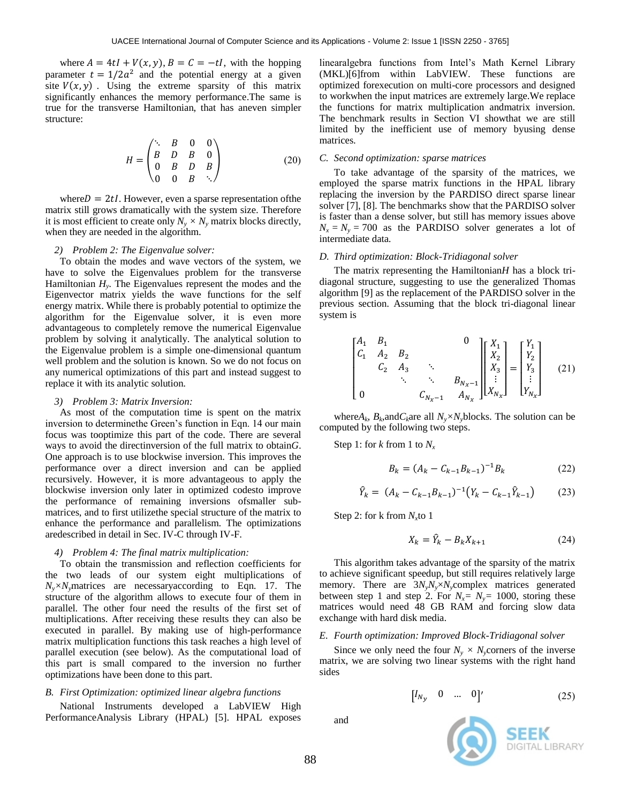where  $A = 4tI + V(x, y)$ ,  $B = C = -tI$ , with the hopping parameter  $t = 1/2a^2$  and the potential energy at a given site  $V(x, y)$ . Using the extreme sparsity of this matrix significantly enhances the memory performance.The same is true for the transverse Hamiltonian, that has aneven simpler structure:

$$
H = \begin{pmatrix} \ddots & B & 0 & 0 \\ B & D & B & 0 \\ 0 & B & D & B \\ 0 & 0 & B & \ddots \end{pmatrix}
$$
 (20)

where  $D = 2tI$ . However, even a sparse representation of the matrix still grows dramatically with the system size. Therefore it is most efficient to create only  $N_v \times N_v$  matrix blocks directly, when they are needed in the algorithm.

### *2) Problem 2: The Eigenvalue solver:*

To obtain the modes and wave vectors of the system, we have to solve the Eigenvalues problem for the transverse Hamiltonian  $H_y$ . The Eigenvalues represent the modes and the Eigenvector matrix yields the wave functions for the self energy matrix. While there is probably potential to optimize the algorithm for the Eigenvalue solver, it is even more advantageous to completely remove the numerical Eigenvalue problem by solving it analytically. The analytical solution to the Eigenvalue problem is a simple one-dimensional quantum well problem and the solution is known. So we do not focus on any numerical optimizations of this part and instead suggest to replace it with its analytic solution.

#### *3) Problem 3: Matrix Inversion:*

As most of the computation time is spent on the matrix inversion to determinethe Green's function in Eqn. 14 our main focus was tooptimize this part of the code. There are several ways to avoid the directinversion of the full matrix to obtain*G*. One approach is to use blockwise inversion. This improves the performance over a direct inversion and can be applied recursively. However, it is more advantageous to apply the blockwise inversion only later in optimized codesto improve the performance of remaining inversions ofsmaller submatrices, and to first utilizethe special structure of the matrix to enhance the performance and parallelism. The optimizations aredescribed in detail in Sec. IV-C through IV-F.

### *4) Problem 4: The final matrix multiplication:*

To obtain the transmission and reflection coefficients for the two leads of our system eight multiplications of  $N_v \times N_v$  matrices are necessary according to Eqn. 17. The structure of the algorithm allows to execute four of them in parallel. The other four need the results of the first set of multiplications. After receiving these results they can also be executed in parallel. By making use of high-performance matrix multiplication functions this task reaches a high level of parallel execution (see below). As the computational load of this part is small compared to the inversion no further optimizations have been done to this part.

### *B. First Optimization: optimized linear algebra functions*

National Instruments developed a LabVIEW High PerformanceAnalysis Library (HPAL) [5]. HPAL exposes

linearalgebra functions from Intel's Math Kernel Library (MKL)[6]from within LabVIEW. These functions are optimized forexecution on multi-core processors and designed to workwhen the input matrices are extremely large.We replace the functions for matrix multiplication andmatrix inversion. The benchmark results in Section VI showthat we are still limited by the inefficient use of memory byusing dense matrices.

### *C. Second optimization: sparse matrices*

To take advantage of the sparsity of the matrices, we employed the sparse matrix functions in the HPAL library replacing the inversion by the PARDISO direct sparse linear solver [7], [8]. The benchmarks show that the PARDISO solver is faster than a dense solver, but still has memory issues above  $N_x = N_y = 700$  as the PARDISO solver generates a lot of intermediate data.

## *D. Third optimization: Block-Tridiagonal solver*

The matrix representing the Hamiltonian*H* has a block tridiagonal structure, suggesting to use the generalized Thomas algorithm [9] as the replacement of the PARDISO solver in the previous section. Assuming that the block tri-diagonal linear system is

$$
\begin{bmatrix} A_1 & B_1 & & & & 0 \ C_1 & A_2 & B_2 & & & \ & C_2 & A_3 & \ddots & & \ & & \ddots & \ddots & B_{N_x-1} \ 0 & & & C_{N_x-1} & A_{N_x} \end{bmatrix} \begin{bmatrix} X_1 \\ X_2 \\ X_3 \\ \vdots \\ X_{N_x} \end{bmatrix} = \begin{bmatrix} Y_1 \\ Y_2 \\ Y_3 \\ \vdots \\ Y_{N_x} \end{bmatrix}
$$
 (21)

where $A_k$ ,  $B_k$ , and  $C_k$  are all  $N_y \times N_y$  blocks. The solution can be computed by the following two steps.

Step 1: for *k* from 1 to  $N_x$ 

$$
B_k = (A_k - C_{k-1}B_{k-1})^{-1}B_k
$$
 (22)

$$
\hat{Y}_k = (A_k - C_{k-1}B_{k-1})^{-1}(Y_k - C_{k-1}\hat{Y}_{k-1})
$$
 (23)

Step 2: for k from *N<sup>x</sup>* to 1

$$
X_k = \hat{Y}_k - B_k X_{k+1} \tag{24}
$$

This algorithm takes advantage of the sparsity of the matrix to achieve significant speedup, but still requires relatively large memory. There are 3*NyNy*×*Ny*complex matrices generated between step 1 and step 2. For  $N_x = N_y = 1000$ , storing these matrices would need 48 GB RAM and forcing slow data exchange with hard disk media.

#### *E. Fourth optimization: Improved Block-Tridiagonal solver*

Since we only need the four  $N_v \times N_v$ corners of the inverse matrix, we are solving two linear systems with the right hand sides

$$
\begin{bmatrix} I_{N_{\mathcal{V}}} & 0 & \dots & 0 \end{bmatrix} \tag{25}
$$



and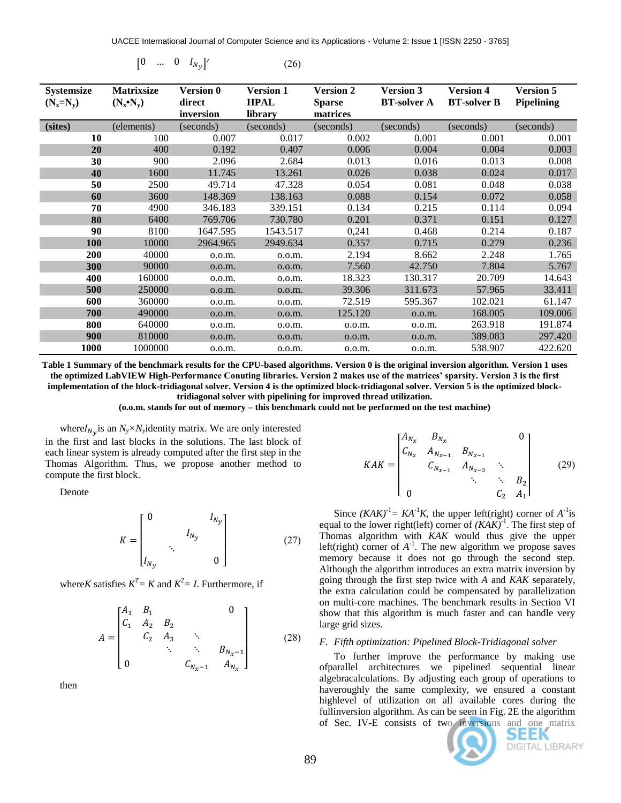$[0 \quad ... \quad 0 \quad I_{N_y}]'$  (26)

| <b>Systemsize</b><br>$(N_x=N_v)$ | <b>Matrixsize</b><br>$(N_x \cdot N_y)$ | <b>Version 0</b><br>direct<br>inversion | <b>Version 1</b><br><b>HPAL</b><br>library | <b>Version 2</b><br><b>Sparse</b><br>matrices | <b>Version 3</b><br><b>BT-solver A</b> | <b>Version 4</b><br><b>BT-solver B</b> | <b>Version 5</b><br><b>Pipelining</b> |
|----------------------------------|----------------------------------------|-----------------------------------------|--------------------------------------------|-----------------------------------------------|----------------------------------------|----------------------------------------|---------------------------------------|
| (sites)                          | (elements)                             | (seconds)                               | (seconds)                                  | (seconds)                                     | (seconds)                              | (seconds)                              | (seconds)                             |
| <b>10</b>                        | 100                                    | 0.007                                   | 0.017                                      | 0.002                                         | 0.001                                  | 0.001                                  | 0.001                                 |
| 20                               | 400                                    | 0.192                                   | 0.407                                      | 0.006                                         | 0.004                                  | 0.004                                  | 0.003                                 |
| 30                               | 900                                    | 2.096                                   | 2.684                                      | 0.013                                         | 0.016                                  | 0.013                                  | 0.008                                 |
| 40                               | 1600                                   | 11.745                                  | 13.261                                     | 0.026                                         | 0.038                                  | 0.024                                  | 0.017                                 |
| 50                               | 2500                                   | 49.714                                  | 47.328                                     | 0.054                                         | 0.081                                  | 0.048                                  | 0.038                                 |
| 60                               | 3600                                   | 148.369                                 | 138.163                                    | 0.088                                         | 0.154                                  | 0.072                                  | 0.058                                 |
| 70                               | 4900                                   | 346.183                                 | 339.151                                    | 0.134                                         | 0.215                                  | 0.114                                  | 0.094                                 |
| 80                               | 6400                                   | 769.706                                 | 730.780                                    | 0.201                                         | 0.371                                  | 0.151                                  | 0.127                                 |
| 90                               | 8100                                   | 1647.595                                | 1543.517                                   | 0,241                                         | 0.468                                  | 0.214                                  | 0.187                                 |
| <b>100</b>                       | 10000                                  | 2964.965                                | 2949.634                                   | 0.357                                         | 0.715                                  | 0.279                                  | 0.236                                 |
| 200                              | 40000                                  | 0.0.m.                                  | 0.0.m.                                     | 2.194                                         | 8.662                                  | 2.248                                  | 1.765                                 |
| 300                              | 90000                                  | 0.0.m.                                  | 0.0.m.                                     | 7.560                                         | 42.750                                 | 7.804                                  | 5.767                                 |
| 400                              | 160000                                 | 0.0.m.                                  | 0.0.m.                                     | 18.323                                        | 130.317                                | 20.709                                 | 14.643                                |
| 500                              | 250000                                 | 0.0.m.                                  | 0.0.m.                                     | 39.306                                        | 311.673                                | 57.965                                 | 33.411                                |
| 600                              | 360000                                 | 0.0.m.                                  | 0.0.m.                                     | 72.519                                        | 595.367                                | 102.021                                | 61.147                                |
| 700                              | 490000                                 | 0.0.m.                                  | 0.0.m.                                     | 125.120                                       | 0.0.m.                                 | 168.005                                | 109.006                               |
| 800                              | 640000                                 | 0.0.m.                                  | 0.0.m.                                     | 0.0.m.                                        | 0.0.m.                                 | 263.918                                | 191.874                               |
| 900                              | 810000                                 | 0.0.m.                                  | 0.0.m.                                     | 0.0.m.                                        | 0.0.m.                                 | 389.083                                | 297.420                               |
| 1000                             | 1000000                                | 0.0.m.                                  | 0.0.m.                                     | 0.0.m.                                        | 0.0.m.                                 | 538.907                                | 422.620                               |

**Table 1 Summary of the benchmark results for the CPU-based algorithms. Version 0 is the original inversion algorithm. Version 1 uses the optimized LabVIEW High-Performance Conuting libraries. Version 2 makes use of the matrices' sparsity. Version 3 is the first implementation of the block-tridiagonal solver. Version 4 is the optimized block-tridiagonal solver. Version 5 is the optimized blocktridiagonal solver with pipelining for improved thread utilization.**

**(o.o.m. stands for out of memory – this benchmark could not be performed on the test machine)**

where  $I_{N_v}$  is an  $N_y \times N_y$  identity matrix. We are only interested in the first and last blocks in the solutions. The last block of each linear system is already computed after the first step in the Thomas Algorithm. Thus, we propose another method to compute the first block.

Denote

$$
K = \begin{bmatrix} 0 & & I_{N_y} \\ & & I_{N_y} \\ & & \ddots & \\ I_{N_y} & & 0 \end{bmatrix}
$$
 (27)

where*K* satisfies  $K^T = K$  and  $K^2 = I$ . Furthermore, if

$$
A = \begin{bmatrix} A_1 & B_1 & & & 0 \\ C_1 & A_2 & B_2 & & \\ & C_2 & A_3 & \ddots & \\ & & \ddots & \ddots & B_{N_x - 1} \\ 0 & & & C_{N_x - 1} & A_{N_x} \end{bmatrix}
$$
 (28)

then

$$
KAK = \begin{bmatrix} A_{N_x} & B_{N_x} & & 0 \\ C_{N_x} & A_{N_{x-1}} & B_{N_{x-1}} & \\ & C_{N_{x-1}} & A_{N_{x-2}} & \ddots & \\ & & \ddots & \ddots & B_2 \\ 0 & & & C_2 & A_1 \end{bmatrix}
$$
 (29)

Since  $(KAK)^{-1} = KA^{-1}K$ , the upper left(right) corner of  $A^{-1}$  is equal to the lower right(left) corner of  $(KAK)^{-1}$ . The first step of Thomas algorithm with *KAK* would thus give the upper left(right) corner of  $A^{-1}$ . The new algorithm we propose saves memory because it does not go through the second step. Although the algorithm introduces an extra matrix inversion by going through the first step twice with *A* and *KAK* separately, the extra calculation could be compensated by parallelization on multi-core machines. The benchmark results in Section VI show that this algorithm is much faster and can handle very large grid sizes.

# *F. Fifth optimization: Pipelined Block-Tridiagonal solver*

To further improve the performance by making use ofparallel architectures we pipelined sequential linear algebracalculations. By adjusting each group of operations to haveroughly the same complexity, we ensured a constant highlevel of utilization on all available cores during the fullinversion algorithm. As can be seen in Fig. 2E the algorithm of Sec. IV-E consists of two inversions and one matrix



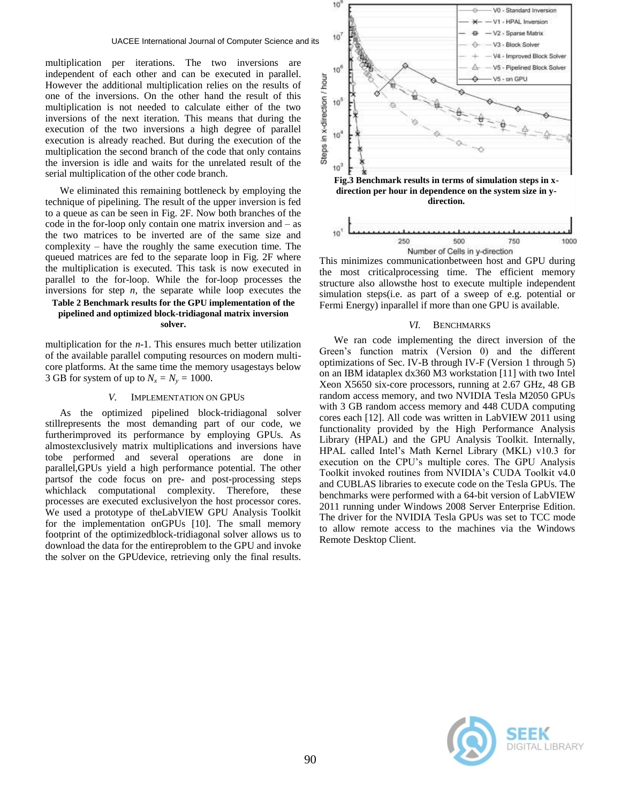multiplication per iterations. The two inversions are independent of each other and can be executed in parallel. However the additional multiplication relies on the results of one of the inversions. On the other hand the result of this multiplication is not needed to calculate either of the two inversions of the next iteration. This means that during the execution of the two inversions a high degree of parallel execution is already reached. But during the execution of the multiplication the second branch of the code that only contains the inversion is idle and waits for the unrelated result of the serial multiplication of the other code branch.

We eliminated this remaining bottleneck by employing the technique of pipelining. The result of the upper inversion is fed to a queue as can be seen in Fig. 2F. Now both branches of the code in the for-loop only contain one matrix inversion and – as the two matrices to be inverted are of the same size and complexity – have the roughly the same execution time. The queued matrices are fed to the separate loop in Fig. 2F where the multiplication is executed. This task is now executed in parallel to the for-loop. While the for-loop processes the inversions for step  $n$ , the separate while loop executes the

## **Table 2 Benchmark results for the GPU implementation of the pipelined and optimized block-tridiagonal matrix inversion solver.**

multiplication for the *n-*1. This ensures much better utilization of the available parallel computing resources on modern multicore platforms. At the same time the memory usagestays below 3 GB for system of up to  $N_x = N_y = 1000$ .

#### *V.* IMPLEMENTATION ON GPUS

As the optimized pipelined block-tridiagonal solver stillrepresents the most demanding part of our code, we furtherimproved its performance by employing GPUs. As almostexclusively matrix multiplications and inversions have tobe performed and several operations are done in parallel,GPUs yield a high performance potential. The other partsof the code focus on pre- and post-processing steps whichlack computational complexity. Therefore, these processes are executed exclusivelyon the host processor cores. We used a prototype of theLabVIEW GPU Analysis Toolkit for the implementation onGPUs [10]. The small memory footprint of the optimizedblock-tridiagonal solver allows us to download the data for the entireproblem to the GPU and invoke the solver on the GPUdevice, retrieving only the final results.





**direction.**

This minimizes communicationbetween host and GPU during the most criticalprocessing time. The efficient memory structure also allowsthe host to execute multiple independent simulation steps(i.e. as part of a sweep of e.g. potential or Fermi Energy) inparallel if more than one GPU is available.

#### *VI.* BENCHMARKS

We ran code implementing the direct inversion of the Green's function matrix (Version 0) and the different optimizations of Sec. IV-B through IV-F (Version 1 through 5) on an IBM idataplex dx360 M3 workstation [11] with two Intel Xeon X5650 six-core processors, running at 2.67 GHz, 48 GB random access memory, and two NVIDIA Tesla M2050 GPUs with 3 GB random access memory and 448 CUDA computing cores each [12]. All code was written in LabVIEW 2011 using functionality provided by the High Performance Analysis Library (HPAL) and the GPU Analysis Toolkit. Internally, HPAL called Intel's Math Kernel Library (MKL) v10.3 for execution on the CPU's multiple cores. The GPU Analysis Toolkit invoked routines from NVIDIA's CUDA Toolkit v4.0 and CUBLAS libraries to execute code on the Tesla GPUs. The benchmarks were performed with a 64-bit version of LabVIEW 2011 running under Windows 2008 Server Enterprise Edition. The driver for the NVIDIA Tesla GPUs was set to TCC mode to allow remote access to the machines via the Windows Remote Desktop Client.

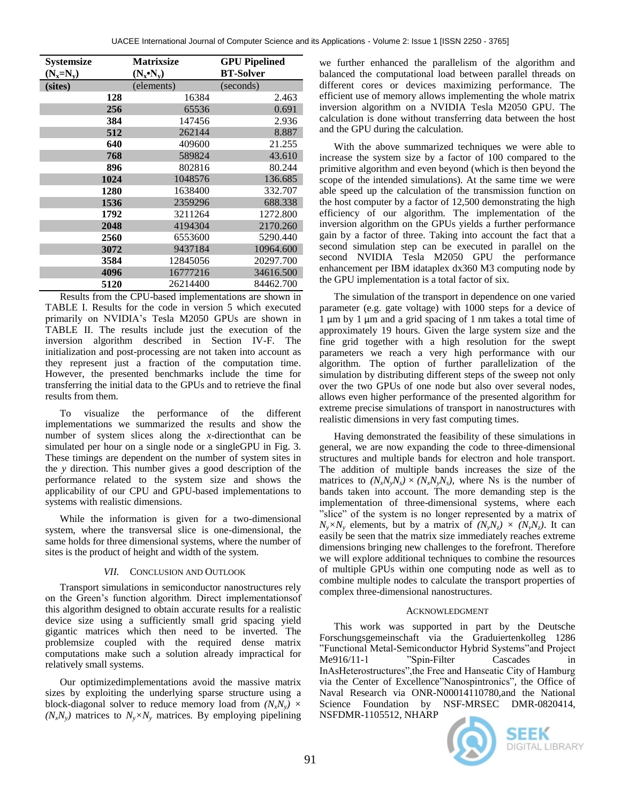| <b>Systemsize</b> |      | <b>Matrixsize</b> | <b>GPU Pipelined</b> |
|-------------------|------|-------------------|----------------------|
| $(N_x=N_v)$       |      | $(N_x \cdot N_v)$ | <b>BT-Solver</b>     |
| (sites)           |      | (elements)        | (seconds)            |
|                   | 128  | 16384             | 2.463                |
|                   | 256  | 65536             | 0.691                |
|                   | 384  | 147456            | 2.936                |
|                   | 512  | 262144            | 8.887                |
|                   | 640  | 409600            | 21.255               |
|                   | 768  | 589824            | 43.610               |
|                   | 896  | 802816            | 80.244               |
|                   | 1024 | 1048576           | 136.685              |
|                   | 1280 | 1638400           | 332.707              |
|                   | 1536 | 2359296           | 688.338              |
|                   | 1792 | 3211264           | 1272.800             |
|                   | 2048 | 4194304           | 2170.260             |
|                   | 2560 | 6553600           | 5290.440             |
|                   | 3072 | 9437184           | 10964.600            |
|                   | 3584 | 12845056          | 20297.700            |
|                   | 4096 | 16777216          | 34616.500            |
|                   | 5120 | 26214400          | 84462.700            |

Results from the CPU-based implementations are shown in TABLE I. Results for the code in version 5 which executed primarily on NVIDIA's Tesla M2050 GPUs are shown in TABLE II. The results include just the execution of the inversion algorithm described in Section IV-F. The initialization and post-processing are not taken into account as they represent just a fraction of the computation time. However, the presented benchmarks include the time for transferring the initial data to the GPUs and to retrieve the final results from them.

To visualize the performance of the different implementations we summarized the results and show the number of system slices along the *x*-directionthat can be simulated per hour on a single node or a singleGPU in Fig. 3. These timings are dependent on the number of system sites in the *y* direction. This number gives a good description of the performance related to the system size and shows the applicability of our CPU and GPU-based implementations to systems with realistic dimensions.

While the information is given for a two-dimensional system, where the transversal slice is one-dimensional, the same holds for three dimensional systems, where the number of sites is the product of height and width of the system.

# *VII.* CONCLUSION AND OUTLOOK

Transport simulations in semiconductor nanostructures rely on the Green's function algorithm. Direct implementationsof this algorithm designed to obtain accurate results for a realistic device size using a sufficiently small grid spacing yield gigantic matrices which then need to be inverted. The problemsize coupled with the required dense matrix computations make such a solution already impractical for relatively small systems.

Our optimizedimplementations avoid the massive matrix sizes by exploiting the underlying sparse structure using a block-diagonal solver to reduce memory load from  $(N_xN_y) \times$  $(N_xN_y)$  matrices to  $N_y \times N_y$  matrices. By employing pipelining

we further enhanced the parallelism of the algorithm and balanced the computational load between parallel threads on different cores or devices maximizing performance. The efficient use of memory allows implementing the whole matrix inversion algorithm on a NVIDIA Tesla M2050 GPU. The calculation is done without transferring data between the host and the GPU during the calculation.

With the above summarized techniques we were able to increase the system size by a factor of 100 compared to the primitive algorithm and even beyond (which is then beyond the scope of the intended simulations). At the same time we were able speed up the calculation of the transmission function on the host computer by a factor of 12,500 demonstrating the high efficiency of our algorithm. The implementation of the inversion algorithm on the GPUs yields a further performance gain by a factor of three. Taking into account the fact that a second simulation step can be executed in parallel on the second NVIDIA Tesla M2050 GPU the performance enhancement per IBM idataplex dx360 M3 computing node by the GPU implementation is a total factor of six.

The simulation of the transport in dependence on one varied parameter (e.g. gate voltage) with 1000 steps for a device of 1 μm by 1 μm and a grid spacing of 1 nm takes a total time of approximately 19 hours. Given the large system size and the fine grid together with a high resolution for the swept parameters we reach a very high performance with our algorithm. The option of further parallelization of the simulation by distributing different steps of the sweep not only over the two GPUs of one node but also over several nodes, allows even higher performance of the presented algorithm for extreme precise simulations of transport in nanostructures with realistic dimensions in very fast computing times.

Having demonstrated the feasibility of these simulations in general, we are now expanding the code to three-dimensional structures and multiple bands for electron and hole transport. The addition of multiple bands increases the size of the matrices to  $(N_xN_yN_s) \times (N_xN_yN_s)$ , where Ns is the number of bands taken into account. The more demanding step is the implementation of three-dimensional systems, where each "slice" of the system is no longer represented by a matrix of  $N_v \times N_v$  elements, but by a matrix of  $(N_v N_z) \times (N_v N_z)$ . It can easily be seen that the matrix size immediately reaches extreme dimensions bringing new challenges to the forefront. Therefore we will explore additional techniques to combine the resources of multiple GPUs within one computing node as well as to combine multiple nodes to calculate the transport properties of complex three-dimensional nanostructures.

# ACKNOWLEDGMENT

This work was supported in part by the Deutsche Forschungsgemeinschaft via the Graduiertenkolleg 1286 "Functional Metal-Semiconductor Hybrid Systems"and Project Me916/11-1 "Spin-Filter Cascades in InAsHeterostructures",the Free and Hanseatic City of Hamburg via the Center of Excellence"Nanospintronics", the Office of Naval Research via ONR-N00014110780,and the National Science Foundation by NSF-MRSEC DMR-0820414, NSFDMR-1105512, NHARP